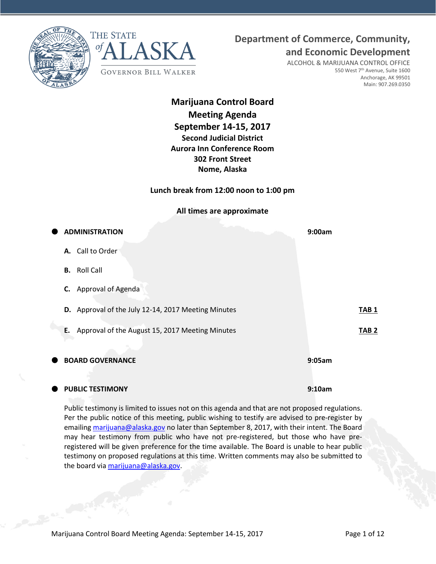



## **Department of Commerce, Community,**

**and Economic Development**

ALCOHOL & MARIJUANA CONTROL OFFICE 550 West 7<sup>th</sup> Avenue, Suite 1600 Anchorage, AK 99501 Main: 907.269.0350

**Marijuana Control Board Meeting Agenda September 14-15, 2017 Second Judicial District Aurora Inn Conference Room 302 Front Street Nome, Alaska**

**Lunch break from 12:00 noon to 1:00 pm**

**All times are approximate**

| $\bullet$ | <b>ADMINISTRATION</b>                                 | 9:00am           |
|-----------|-------------------------------------------------------|------------------|
|           | A. Call to Order                                      |                  |
|           | <b>Roll Call</b><br>В.                                |                  |
|           | C. Approval of Agenda                                 |                  |
|           | D. Approval of the July 12-14, 2017 Meeting Minutes   | TAB <sub>1</sub> |
|           | Approval of the August 15, 2017 Meeting Minutes<br>E. | TAB <sub>2</sub> |
| C         | <b>BOARD GOVERNANCE</b>                               | 9:05am           |
|           |                                                       |                  |

#### **PUBLIC TESTIMONY 9:10am**

Public testimony is limited to issues not on this agenda and that are not proposed regulations. Per the public notice of this meeting, public wishing to testify are advised to pre-register by emailin[g marijuana@alaska.gov](mailto:marijuana@alaska.gov) no later than September 8, 2017, with their intent. The Board may hear testimony from public who have not pre-registered, but those who have preregistered will be given preference for the time available. The Board is unable to hear public testimony on proposed regulations at this time. Written comments may also be submitted to the board vi[a marijuana@alaska.gov.](mailto:marijuana@alaska.gov)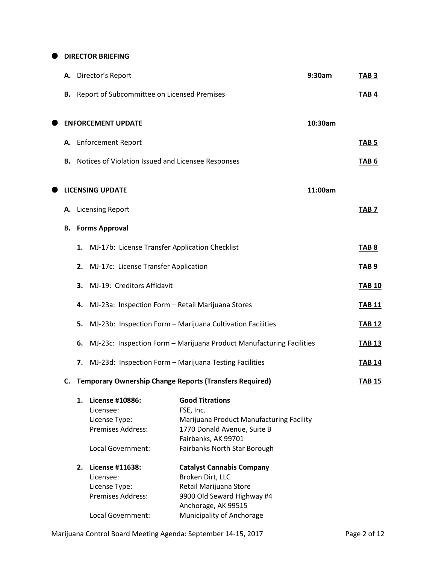**O** DIRECTOR BRIEFING

| А. |    | Director's Report                                  |                                                                      | 9:30am  | TAB <sub>3</sub> |
|----|----|----------------------------------------------------|----------------------------------------------------------------------|---------|------------------|
| В. |    | Report of Subcommittee on Licensed Premises        |                                                                      |         | TAB <sub>4</sub> |
|    |    | <b>ENFORCEMENT UPDATE</b>                          |                                                                      | 10:30am |                  |
| А. |    | <b>Enforcement Report</b>                          |                                                                      |         | TAB <sub>5</sub> |
| В. |    | Notices of Violation Issued and Licensee Responses |                                                                      |         | TAB <sub>6</sub> |
|    |    | <b>LICENSING UPDATE</b>                            |                                                                      | 11:00am |                  |
| А. |    | <b>Licensing Report</b>                            |                                                                      |         | TAB <sub>7</sub> |
| В. |    | <b>Forms Approval</b>                              |                                                                      |         |                  |
|    | 1. | MJ-17b: License Transfer Application Checklist     |                                                                      |         | TAB <sub>8</sub> |
|    | 2. | MJ-17c: License Transfer Application               |                                                                      |         | <b>TAB 9</b>     |
|    | 3. | MJ-19: Creditors Affidavit                         |                                                                      |         | <b>TAB 10</b>    |
|    | 4. | MJ-23a: Inspection Form - Retail Marijuana Stores  |                                                                      |         | <b>TAB 11</b>    |
|    | 5. |                                                    | MJ-23b: Inspection Form - Marijuana Cultivation Facilities           |         | <b>TAB 12</b>    |
|    | 6. |                                                    | MJ-23c: Inspection Form - Marijuana Product Manufacturing Facilities |         | <b>TAB 13</b>    |
|    | 7. |                                                    | MJ-23d: Inspection Form - Marijuana Testing Facilities               |         | <b>TAB 14</b>    |
| C. |    |                                                    | <b>Temporary Ownership Change Reports (Transfers Required)</b>       |         | <b>TAB 15</b>    |
|    | 1. | License #10886:                                    | <b>Good Titrations</b>                                               |         |                  |
|    |    | Licensee:                                          | FSE, Inc.                                                            |         |                  |
|    |    | License Type:                                      | Marijuana Product Manufacturing Facility                             |         |                  |
|    |    | Premises Address:                                  | 1770 Donald Avenue, Suite B                                          |         |                  |
|    |    |                                                    | Fairbanks, AK 99701                                                  |         |                  |
|    |    | Local Government:                                  | Fairbanks North Star Borough                                         |         |                  |
|    | 2. | License #11638:                                    | <b>Catalyst Cannabis Company</b>                                     |         |                  |
|    |    | Licensee:                                          | Broken Dirt, LLC                                                     |         |                  |
|    |    | License Type:                                      | Retail Marijuana Store                                               |         |                  |
|    |    | Premises Address:                                  | 9900 Old Seward Highway #4                                           |         |                  |
|    |    |                                                    | Anchorage, AK 99515                                                  |         |                  |
|    |    | Local Government:                                  | Municipality of Anchorage                                            |         |                  |

Marijuana Control Board Meeting Agenda: September 14-15, 2017 Page 2 of 12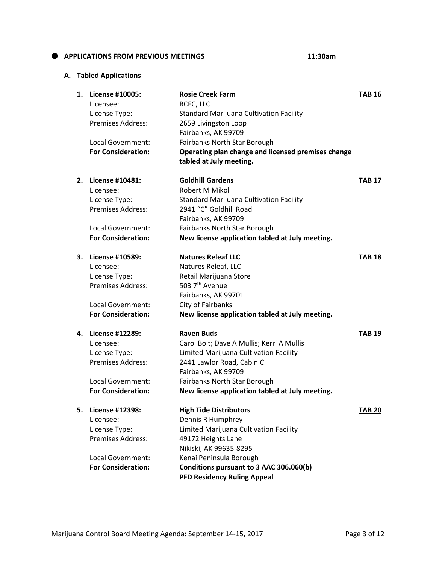# Local Government: Fairbanks North Star Borough<br>For Consideration: Conerating plan change and lic

Licensee: RCFC, LLC

Premises Address: 2659 Livingston Loop

|    | <b>For Consideration:</b> | Operating plan change and licensed premises change<br>tabled at July meeting. |               |
|----|---------------------------|-------------------------------------------------------------------------------|---------------|
| 2. | License #10481:           | <b>Goldhill Gardens</b>                                                       | <b>TAB 17</b> |
|    | Licensee:                 | Robert M Mikol                                                                |               |
|    | License Type:             | <b>Standard Marijuana Cultivation Facility</b>                                |               |
|    | Premises Address:         | 2941 "C" Goldhill Road                                                        |               |
|    |                           | Fairbanks, AK 99709                                                           |               |
|    | Local Government:         | Fairbanks North Star Borough                                                  |               |
|    | <b>For Consideration:</b> | New license application tabled at July meeting.                               |               |
| 3. | License #10589:           | <b>Natures Releaf LLC</b>                                                     | <b>TAB 18</b> |
|    | Licensee:                 | Natures Releaf, LLC                                                           |               |
|    | License Type:             | Retail Marijuana Store                                                        |               |
|    | Premises Address:         | 503 7 <sup>th</sup> Avenue                                                    |               |
|    |                           | Fairbanks, AK 99701                                                           |               |
|    | Local Government:         | City of Fairbanks                                                             |               |
|    | <b>For Consideration:</b> | New license application tabled at July meeting.                               |               |
| 4. | License #12289:           | <b>Raven Buds</b>                                                             | <b>TAB 19</b> |
|    | Licensee:                 | Carol Bolt; Dave A Mullis; Kerri A Mullis                                     |               |
|    | License Type:             | Limited Marijuana Cultivation Facility                                        |               |
|    | Premises Address:         | 2441 Lawlor Road, Cabin C                                                     |               |
|    |                           | Fairbanks, AK 99709                                                           |               |
|    | Local Government:         | Fairbanks North Star Borough                                                  |               |
|    | <b>For Consideration:</b> | New license application tabled at July meeting.                               |               |
| 5. | License #12398:           | <b>High Tide Distributors</b>                                                 | <b>TAB 20</b> |
|    | Licensee:                 | Dennis R Humphrey                                                             |               |
|    | License Type:             | Limited Marijuana Cultivation Facility                                        |               |
|    | <b>Premises Address:</b>  | 49172 Heights Lane                                                            |               |
|    |                           | Nikiski, AK 99635-8295                                                        |               |
|    | Local Government:         | Kenai Peninsula Borough                                                       |               |
|    | <b>For Consideration:</b> | Conditions pursuant to 3 AAC 306.060(b)                                       |               |
|    |                           | <b>PFD Residency Ruling Appeal</b>                                            |               |

**1. License #10005: Rosie Creek Farm TAB 16**

License Type: Standard Marijuana Cultivation Facility

Fairbanks, AK 99709

#### **A. Tabled Applications**

**APPLICATIONS FROM PREVIOUS MEETINGS 11:30am**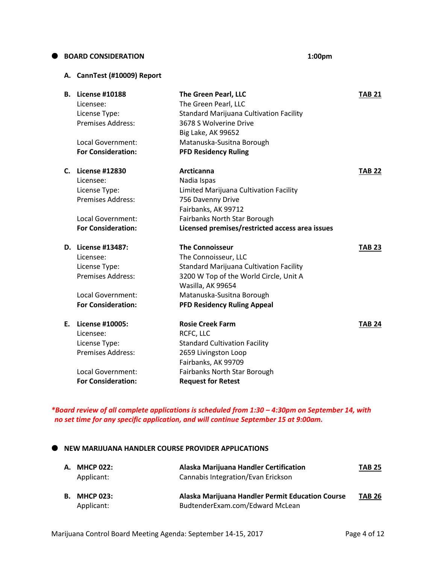#### **BOARD CONSIDERATION 1:00pm**

#### **A. CannTest (#10009) Report**

| В. | <b>License #10188</b>     | The Green Pearl, LLC                            | <b>TAB 21</b> |
|----|---------------------------|-------------------------------------------------|---------------|
|    | Licensee:                 | The Green Pearl, LLC                            |               |
|    | License Type:             | <b>Standard Marijuana Cultivation Facility</b>  |               |
|    | <b>Premises Address:</b>  | 3678 S Wolverine Drive                          |               |
|    |                           | <b>Big Lake, AK 99652</b>                       |               |
|    | Local Government:         | Matanuska-Susitna Borough                       |               |
|    | <b>For Consideration:</b> | <b>PFD Residency Ruling</b>                     |               |
| C. | <b>License #12830</b>     | <b>Arcticanna</b>                               | <b>TAB 22</b> |
|    | Licensee:                 | Nadia Ispas                                     |               |
|    | License Type:             | Limited Marijuana Cultivation Facility          |               |
|    | <b>Premises Address:</b>  | 756 Davenny Drive                               |               |
|    |                           | Fairbanks, AK 99712                             |               |
|    | Local Government:         | Fairbanks North Star Borough                    |               |
|    | <b>For Consideration:</b> | Licensed premises/restricted access area issues |               |
|    | D. License #13487:        | <b>The Connoisseur</b>                          | <b>TAB 23</b> |
|    | Licensee:                 | The Connoisseur, LLC                            |               |
|    | License Type:             | <b>Standard Marijuana Cultivation Facility</b>  |               |
|    | <b>Premises Address:</b>  | 3200 W Top of the World Circle, Unit A          |               |
|    |                           | Wasilla, AK 99654                               |               |
|    | <b>Local Government:</b>  | Matanuska-Susitna Borough                       |               |
|    | <b>For Consideration:</b> | <b>PFD Residency Ruling Appeal</b>              |               |
| E. | License #10005:           | <b>Rosie Creek Farm</b>                         | <b>TAB 24</b> |
|    | Licensee:                 | RCFC, LLC                                       |               |
|    | License Type:             | <b>Standard Cultivation Facility</b>            |               |
|    | <b>Premises Address:</b>  | 2659 Livingston Loop                            |               |
|    |                           | Fairbanks, AK 99709                             |               |
|    | Local Government:         | Fairbanks North Star Borough                    |               |
|    | <b>For Consideration:</b> | <b>Request for Retest</b>                       |               |
|    |                           |                                                 |               |

*\*Board review of all complete applications is scheduled from 1:30 – 4:30pm on September 14, with no set time for any specific application, and will continue September 15 at 9:00am.*

 $\bullet$  NEW MARIJUANA HANDLER COURSE PROVIDER APPLICATIONS

| А. | <b>MHCP 022:</b><br>Applicant: | Alaska Marijuana Handler Certification<br>Cannabis Integration/Evan Erickson        | <b>TAB 25</b> |
|----|--------------------------------|-------------------------------------------------------------------------------------|---------------|
| В. | <b>MHCP 023:</b><br>Applicant: | Alaska Marijuana Handler Permit Education Course<br>BudtenderExam.com/Edward McLean | <b>TAB 26</b> |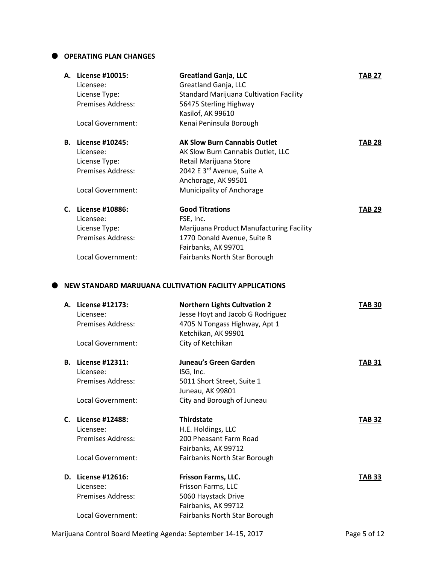#### **OPERATING PLAN CHANGES**

| A. License #10015:<br>Licensee:<br>License Type:<br><b>Premises Address:</b> | <b>Greatland Ganja, LLC</b><br>Greatland Ganja, LLC<br><b>Standard Marijuana Cultivation Facility</b><br>56475 Sterling Highway | <b>TAB 27</b> |
|------------------------------------------------------------------------------|---------------------------------------------------------------------------------------------------------------------------------|---------------|
| Local Government:                                                            | Kasilof, AK 99610<br>Kenai Peninsula Borough                                                                                    |               |
| <b>B.</b> License #10245:                                                    | <b>AK Slow Burn Cannabis Outlet</b>                                                                                             | <b>TAB 28</b> |
| Licensee:                                                                    | AK Slow Burn Cannabis Outlet, LLC                                                                                               |               |
| License Type:                                                                | Retail Marijuana Store                                                                                                          |               |
| <b>Premises Address:</b>                                                     | 2042 E 3rd Avenue, Suite A<br>Anchorage, AK 99501                                                                               |               |
| Local Government:                                                            | Municipality of Anchorage                                                                                                       |               |
| C. License #10886:                                                           | <b>Good Titrations</b>                                                                                                          | <b>TAB 29</b> |
| Licensee:                                                                    | FSE, Inc.                                                                                                                       |               |
| License Type:                                                                | Marijuana Product Manufacturing Facility                                                                                        |               |
| Premises Address:                                                            | 1770 Donald Avenue, Suite B                                                                                                     |               |
|                                                                              | Fairbanks, AK 99701                                                                                                             |               |
| <b>Local Government:</b>                                                     | Fairbanks North Star Borough                                                                                                    |               |
|                                                                              | NEW STANDARD MARIJUANA CULTIVATION FACILITY APPLICATIONS                                                                        |               |
| A. License #12173:                                                           | <b>Northern Lights Cultvation 2</b>                                                                                             | <b>TAB 30</b> |
| Licensee:                                                                    | Jesse Hoyt and Jacob G Rodriguez                                                                                                |               |
| <b>Premises Address:</b>                                                     | 4705 N Tongass Highway, Apt 1                                                                                                   |               |
|                                                                              | Ketchikan, AK 99901                                                                                                             |               |
| Local Government:                                                            | City of Ketchikan                                                                                                               |               |
| <b>B.</b> License #12311:                                                    | Juneau's Green Garden                                                                                                           | <b>TAB 31</b> |
| Licensee:                                                                    | ISG, Inc.                                                                                                                       |               |
| <b>Premises Address:</b>                                                     | 5011 Short Street, Suite 1                                                                                                      |               |
|                                                                              | Juneau, AK 99801                                                                                                                |               |
| Local Government:                                                            | City and Borough of Juneau                                                                                                      |               |
| C. License #12488:                                                           | <b>Thirdstate</b>                                                                                                               | <b>TAB 32</b> |
| Licensee:                                                                    | H.E. Holdings, LLC                                                                                                              |               |
| Premises Address:                                                            | 200 Pheasant Farm Road                                                                                                          |               |

### Local Government: Fairbanks North Star Borough

| <b>D.</b> License #12616: | <b>Frisson Farms, LLC.</b>   | <b>TAB 33</b> |
|---------------------------|------------------------------|---------------|
| Licensee:                 | Frisson Farms, LLC           |               |
| <b>Premises Address:</b>  | 5060 Haystack Drive          |               |
|                           | Fairbanks, AK 99712          |               |
| Local Government:         | Fairbanks North Star Borough |               |

Fairbanks, AK 99712

Marijuana Control Board Meeting Agenda: September 14-15, 2017 Page 5 of 12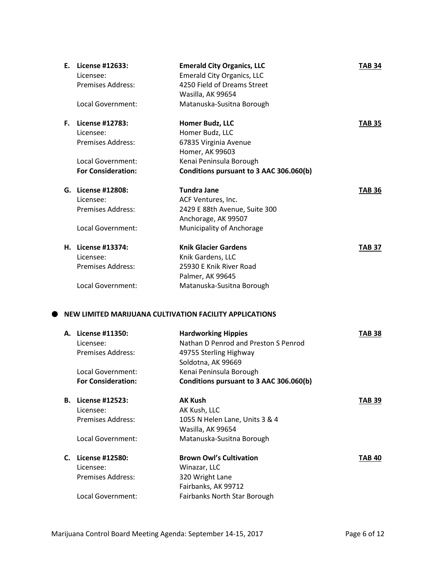| E., | License #12633:<br>Licensee: | <b>Emerald City Organics, LLC</b><br><b>Emerald City Organics, LLC</b> | <b>TAB 34</b> |
|-----|------------------------------|------------------------------------------------------------------------|---------------|
|     | <b>Premises Address:</b>     | 4250 Field of Dreams Street                                            |               |
|     |                              | Wasilla, AK 99654                                                      |               |
|     | Local Government:            | Matanuska-Susitna Borough                                              |               |
| F.  | License #12783:              | Homer Budz, LLC                                                        | <b>TAB 35</b> |
|     | Licensee:                    | Homer Budz, LLC                                                        |               |
|     | <b>Premises Address:</b>     | 67835 Virginia Avenue                                                  |               |
|     |                              | Homer, AK 99603                                                        |               |
|     | Local Government:            | Kenai Peninsula Borough                                                |               |
|     | <b>For Consideration:</b>    | Conditions pursuant to 3 AAC 306.060(b)                                |               |
|     | G. License #12808:           | <b>Tundra Jane</b>                                                     | <b>TAB 36</b> |
|     | Licensee:                    | ACF Ventures, Inc.                                                     |               |
|     | <b>Premises Address:</b>     | 2429 E 88th Avenue, Suite 300                                          |               |
|     |                              | Anchorage, AK 99507                                                    |               |
|     | Local Government:            | Municipality of Anchorage                                              |               |
|     | H. License #13374:           | <b>Knik Glacier Gardens</b>                                            | <b>TAB 37</b> |
|     | Licensee:                    | Knik Gardens, LLC                                                      |               |
|     | <b>Premises Address:</b>     | 25930 E Knik River Road                                                |               |
|     |                              | Palmer, AK 99645                                                       |               |
|     | Local Government:            | Matanuska-Susitna Borough                                              |               |
|     |                              |                                                                        |               |
|     |                              | NEW LIMITED MARIJUANA CULTIVATION FACILITY APPLICATIONS                |               |
|     | A Liconco #11950.            | Hardwarking Hinnies                                                    | TAD 90        |

|    | A. License #11350:        | <b>Hardworking Hippies</b>              | TAB 38 |
|----|---------------------------|-----------------------------------------|--------|
|    | Licensee:                 | Nathan D Penrod and Preston S Penrod    |        |
|    | Premises Address:         | 49755 Sterling Highway                  |        |
|    |                           | Soldotna, AK 99669                      |        |
|    | Local Government:         | Kenai Peninsula Borough                 |        |
|    | <b>For Consideration:</b> | Conditions pursuant to 3 AAC 306.060(b) |        |
| В. | License #12523:           | <b>AK Kush</b>                          | TAB 39 |
|    | Licensee:                 | AK Kush, LLC                            |        |
|    | Premises Address:         | 1055 N Helen Lane, Units 3 & 4          |        |
|    |                           | Wasilla, AK 99654                       |        |
|    | Local Government:         | Matanuska-Susitna Borough               |        |
|    | C. License #12580:        | <b>Brown Owl's Cultivation</b>          | TAB 40 |
|    | Licensee:                 | Winazar, LLC                            |        |
|    | <b>Premises Address:</b>  | 320 Wright Lane                         |        |
|    |                           | Fairbanks, AK 99712                     |        |
|    | Local Government:         | Fairbanks North Star Borough            |        |
|    |                           |                                         |        |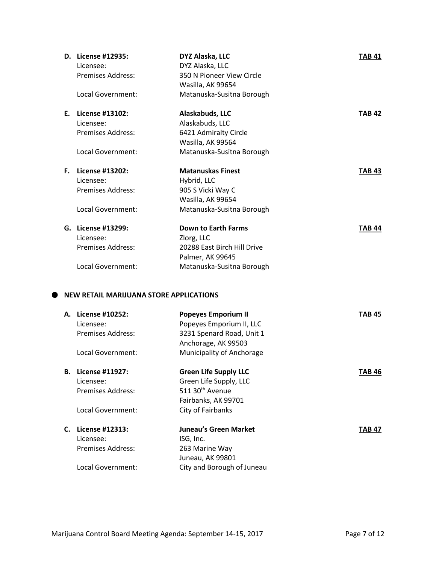|    | D. License #12935:                             | DYZ Alaska, LLC             | <b>TAB 41</b> |
|----|------------------------------------------------|-----------------------------|---------------|
|    | Licensee:                                      | DYZ Alaska, LLC             |               |
|    | <b>Premises Address:</b>                       | 350 N Pioneer View Circle   |               |
|    |                                                | Wasilla, AK 99654           |               |
|    | Local Government:                              | Matanuska-Susitna Borough   |               |
| Е. | License #13102:                                | Alaskabuds, LLC             | <b>TAB 42</b> |
|    | Licensee:                                      | Alaskabuds, LLC             |               |
|    | <b>Premises Address:</b>                       | 6421 Admiralty Circle       |               |
|    |                                                | Wasilla, AK 99564           |               |
|    | Local Government:                              | Matanuska-Susitna Borough   |               |
| F. | License #13202:                                | <b>Matanuskas Finest</b>    | <b>TAB 43</b> |
|    | Licensee:                                      | Hybrid, LLC                 |               |
|    | <b>Premises Address:</b>                       | 905 S Vicki Way C           |               |
|    |                                                | Wasilla, AK 99654           |               |
|    | Local Government:                              | Matanuska-Susitna Borough   |               |
|    | G. License #13299:                             | <b>Down to Earth Farms</b>  | <b>TAB 44</b> |
|    | Licensee:                                      | Zlorg, LLC                  |               |
|    | <b>Premises Address:</b>                       | 20288 East Birch Hill Drive |               |
|    |                                                | Palmer, AK 99645            |               |
|    | Local Government:                              | Matanuska-Susitna Borough   |               |
|    |                                                |                             |               |
|    | <b>NEW RETAIL MARIJUANA STORE APPLICATIONS</b> |                             |               |

#### **NEW RETAIL MARIJUANA STORE APPLICATIONS**

| А. | License #10252:<br>Licensee:<br>Premises Address:<br>Local Government: | <b>Popeyes Emporium II</b><br>Popeyes Emporium II, LLC<br>3231 Spenard Road, Unit 1<br>Anchorage, AK 99503<br>Municipality of Anchorage | TAB 45        |
|----|------------------------------------------------------------------------|-----------------------------------------------------------------------------------------------------------------------------------------|---------------|
| В. | License #11927:<br>Licensee:<br>Premises Address:<br>Local Government: | <b>Green Life Supply LLC</b><br>Green Life Supply, LLC<br>511 30 <sup>th</sup> Avenue<br>Fairbanks, AK 99701<br>City of Fairbanks       | TAB 46        |
| C. | License #12313:<br>Licensee:<br>Premises Address:<br>Local Government: | Juneau's Green Market<br>ISG, Inc.<br>263 Marine Way<br>Juneau, AK 99801<br>City and Borough of Juneau                                  | <b>TAB 47</b> |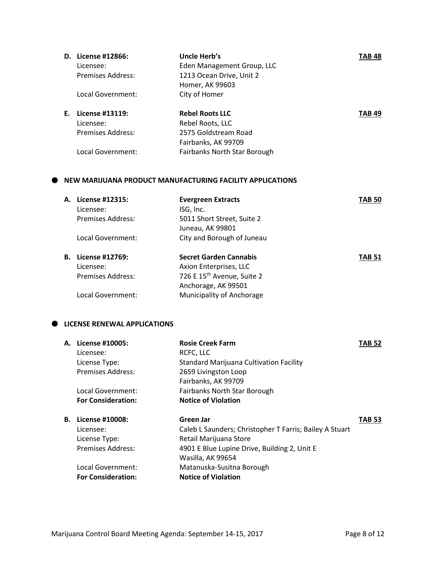| D. | License #12866:   | Uncle Herb's                 | <b>TAB 48</b> |
|----|-------------------|------------------------------|---------------|
|    | Licensee:         | Eden Management Group, LLC   |               |
|    | Premises Address: | 1213 Ocean Drive, Unit 2     |               |
|    |                   | Homer, AK 99603              |               |
|    | Local Government: | City of Homer                |               |
|    |                   |                              |               |
| F. | License #13119:   | <b>Rebel Roots LLC</b>       | TAB 49        |
|    | Licensee:         | Rebel Roots, LLC             |               |
|    | Premises Address: | 2575 Goldstream Road         |               |
|    |                   | Fairbanks, AK 99709          |               |
|    | Local Government: | Fairbanks North Star Borough |               |

#### **NEW MARIJUANA PRODUCT MANUFACTURING FACILITY APPLICATIONS**

| А. | License #12315:          | <b>Evergreen Extracts</b>              | TAB 50        |
|----|--------------------------|----------------------------------------|---------------|
|    | Licensee:                | ISG, Inc.                              |               |
|    | Premises Address:        | 5011 Short Street, Suite 2             |               |
|    |                          | Juneau, AK 99801                       |               |
|    | Local Government:        | City and Borough of Juneau             |               |
| В. | License #12769:          | <b>Secret Garden Cannabis</b>          | <b>TAB 51</b> |
|    | Licensee:                | Axion Enterprises, LLC                 |               |
|    | <b>Premises Address:</b> | 726 E 15 <sup>th</sup> Avenue, Suite 2 |               |
|    |                          | Anchorage, AK 99501                    |               |
|    | Local Government:        | Municipality of Anchorage              |               |

#### $\bullet$  LICENSE RENEWAL APPLICATIONS

| А. | License #10005:           | <b>Rosie Creek Farm</b>                                 | <b>TAB 52</b> |
|----|---------------------------|---------------------------------------------------------|---------------|
|    | Licensee:                 | RCFC, LLC                                               |               |
|    | License Type:             | <b>Standard Marijuana Cultivation Facility</b>          |               |
|    | Premises Address:         | 2659 Livingston Loop                                    |               |
|    |                           | Fairbanks, AK 99709                                     |               |
|    | Local Government:         | Fairbanks North Star Borough                            |               |
|    | <b>For Consideration:</b> | <b>Notice of Violation</b>                              |               |
| В. | License #10008:           | Green Jar                                               | <b>TAB 53</b> |
|    | Licensee:                 | Caleb L Saunders; Christopher T Farris; Bailey A Stuart |               |
|    | License Type:             | Retail Marijuana Store                                  |               |
|    | Premises Address:         | 4901 E Blue Lupine Drive, Building 2, Unit E            |               |
|    |                           | Wasilla, AK 99654                                       |               |
|    | Local Government:         | Matanuska-Susitna Borough                               |               |
|    | <b>For Consideration:</b> | <b>Notice of Violation</b>                              |               |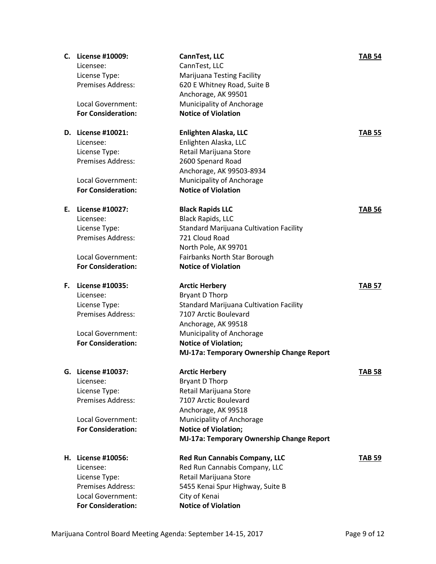| CannTest, LLC<br>Licensee:<br><b>Marijuana Testing Facility</b><br>License Type:<br><b>Premises Address:</b><br>620 E Whitney Road, Suite B<br>Anchorage, AK 99501<br>Municipality of Anchorage<br>Local Government:<br><b>For Consideration:</b><br><b>Notice of Violation</b><br>Enlighten Alaska, LLC<br>D. License #10021:<br><b>TAB 55</b><br>Enlighten Alaska, LLC<br>Licensee:<br>Retail Marijuana Store<br>License Type:<br><b>Premises Address:</b><br>2600 Spenard Road<br>Anchorage, AK 99503-8934<br>Municipality of Anchorage<br>Local Government:<br><b>For Consideration:</b><br><b>Notice of Violation</b><br>License #10027:<br><b>Black Rapids LLC</b><br>Е.<br><b>TAB 56</b><br><b>Black Rapids, LLC</b><br>Licensee:<br><b>Standard Marijuana Cultivation Facility</b><br>License Type:<br><b>Premises Address:</b><br>721 Cloud Road<br>North Pole, AK 99701<br>Local Government:<br>Fairbanks North Star Borough<br><b>Notice of Violation</b><br><b>For Consideration:</b><br>License #10035:<br>F.<br><b>Arctic Herbery</b><br><b>TAB 57</b><br>Bryant D Thorp<br>Licensee:<br><b>Standard Marijuana Cultivation Facility</b><br>License Type:<br><b>Premises Address:</b><br>7107 Arctic Boulevard<br>Anchorage, AK 99518<br>Local Government:<br>Municipality of Anchorage<br><b>For Consideration:</b><br><b>Notice of Violation;</b><br>MJ-17a: Temporary Ownership Change Report<br>License #10037:<br><b>Arctic Herbery</b><br><b>TAB 58</b><br>G.<br><b>Bryant D Thorp</b><br>Licensee:<br>License Type:<br>Retail Marijuana Store<br>Premises Address:<br>7107 Arctic Boulevard<br>Anchorage, AK 99518<br>Municipality of Anchorage<br>Local Government:<br><b>For Consideration:</b><br><b>Notice of Violation;</b><br>MJ-17a: Temporary Ownership Change Report<br>License #10056:<br><b>Red Run Cannabis Company, LLC</b><br><b>TAB 59</b><br>Н.<br>Licensee:<br>Red Run Cannabis Company, LLC | License Type:<br>Retail Marijuana Store<br>Premises Address:<br>5455 Kenai Spur Highway, Suite B<br>Local Government:<br>City of Kenai | C. | License #10009:           | CannTest, LLC              | <b>TAB 54</b> |
|-----------------------------------------------------------------------------------------------------------------------------------------------------------------------------------------------------------------------------------------------------------------------------------------------------------------------------------------------------------------------------------------------------------------------------------------------------------------------------------------------------------------------------------------------------------------------------------------------------------------------------------------------------------------------------------------------------------------------------------------------------------------------------------------------------------------------------------------------------------------------------------------------------------------------------------------------------------------------------------------------------------------------------------------------------------------------------------------------------------------------------------------------------------------------------------------------------------------------------------------------------------------------------------------------------------------------------------------------------------------------------------------------------------------------------------------------------------------------------------------------------------------------------------------------------------------------------------------------------------------------------------------------------------------------------------------------------------------------------------------------------------------------------------------------------------------------------------------------------------------------------------------------------------------------------------|----------------------------------------------------------------------------------------------------------------------------------------|----|---------------------------|----------------------------|---------------|
|                                                                                                                                                                                                                                                                                                                                                                                                                                                                                                                                                                                                                                                                                                                                                                                                                                                                                                                                                                                                                                                                                                                                                                                                                                                                                                                                                                                                                                                                                                                                                                                                                                                                                                                                                                                                                                                                                                                                   |                                                                                                                                        |    |                           |                            |               |
|                                                                                                                                                                                                                                                                                                                                                                                                                                                                                                                                                                                                                                                                                                                                                                                                                                                                                                                                                                                                                                                                                                                                                                                                                                                                                                                                                                                                                                                                                                                                                                                                                                                                                                                                                                                                                                                                                                                                   |                                                                                                                                        |    |                           |                            |               |
|                                                                                                                                                                                                                                                                                                                                                                                                                                                                                                                                                                                                                                                                                                                                                                                                                                                                                                                                                                                                                                                                                                                                                                                                                                                                                                                                                                                                                                                                                                                                                                                                                                                                                                                                                                                                                                                                                                                                   |                                                                                                                                        |    |                           |                            |               |
|                                                                                                                                                                                                                                                                                                                                                                                                                                                                                                                                                                                                                                                                                                                                                                                                                                                                                                                                                                                                                                                                                                                                                                                                                                                                                                                                                                                                                                                                                                                                                                                                                                                                                                                                                                                                                                                                                                                                   |                                                                                                                                        |    |                           |                            |               |
|                                                                                                                                                                                                                                                                                                                                                                                                                                                                                                                                                                                                                                                                                                                                                                                                                                                                                                                                                                                                                                                                                                                                                                                                                                                                                                                                                                                                                                                                                                                                                                                                                                                                                                                                                                                                                                                                                                                                   |                                                                                                                                        |    |                           |                            |               |
|                                                                                                                                                                                                                                                                                                                                                                                                                                                                                                                                                                                                                                                                                                                                                                                                                                                                                                                                                                                                                                                                                                                                                                                                                                                                                                                                                                                                                                                                                                                                                                                                                                                                                                                                                                                                                                                                                                                                   |                                                                                                                                        |    |                           |                            |               |
|                                                                                                                                                                                                                                                                                                                                                                                                                                                                                                                                                                                                                                                                                                                                                                                                                                                                                                                                                                                                                                                                                                                                                                                                                                                                                                                                                                                                                                                                                                                                                                                                                                                                                                                                                                                                                                                                                                                                   |                                                                                                                                        |    |                           |                            |               |
|                                                                                                                                                                                                                                                                                                                                                                                                                                                                                                                                                                                                                                                                                                                                                                                                                                                                                                                                                                                                                                                                                                                                                                                                                                                                                                                                                                                                                                                                                                                                                                                                                                                                                                                                                                                                                                                                                                                                   |                                                                                                                                        |    |                           |                            |               |
|                                                                                                                                                                                                                                                                                                                                                                                                                                                                                                                                                                                                                                                                                                                                                                                                                                                                                                                                                                                                                                                                                                                                                                                                                                                                                                                                                                                                                                                                                                                                                                                                                                                                                                                                                                                                                                                                                                                                   |                                                                                                                                        |    |                           |                            |               |
|                                                                                                                                                                                                                                                                                                                                                                                                                                                                                                                                                                                                                                                                                                                                                                                                                                                                                                                                                                                                                                                                                                                                                                                                                                                                                                                                                                                                                                                                                                                                                                                                                                                                                                                                                                                                                                                                                                                                   |                                                                                                                                        |    |                           |                            |               |
|                                                                                                                                                                                                                                                                                                                                                                                                                                                                                                                                                                                                                                                                                                                                                                                                                                                                                                                                                                                                                                                                                                                                                                                                                                                                                                                                                                                                                                                                                                                                                                                                                                                                                                                                                                                                                                                                                                                                   |                                                                                                                                        |    |                           |                            |               |
|                                                                                                                                                                                                                                                                                                                                                                                                                                                                                                                                                                                                                                                                                                                                                                                                                                                                                                                                                                                                                                                                                                                                                                                                                                                                                                                                                                                                                                                                                                                                                                                                                                                                                                                                                                                                                                                                                                                                   |                                                                                                                                        |    |                           |                            |               |
|                                                                                                                                                                                                                                                                                                                                                                                                                                                                                                                                                                                                                                                                                                                                                                                                                                                                                                                                                                                                                                                                                                                                                                                                                                                                                                                                                                                                                                                                                                                                                                                                                                                                                                                                                                                                                                                                                                                                   |                                                                                                                                        |    |                           |                            |               |
|                                                                                                                                                                                                                                                                                                                                                                                                                                                                                                                                                                                                                                                                                                                                                                                                                                                                                                                                                                                                                                                                                                                                                                                                                                                                                                                                                                                                                                                                                                                                                                                                                                                                                                                                                                                                                                                                                                                                   |                                                                                                                                        |    |                           |                            |               |
|                                                                                                                                                                                                                                                                                                                                                                                                                                                                                                                                                                                                                                                                                                                                                                                                                                                                                                                                                                                                                                                                                                                                                                                                                                                                                                                                                                                                                                                                                                                                                                                                                                                                                                                                                                                                                                                                                                                                   |                                                                                                                                        |    |                           |                            |               |
|                                                                                                                                                                                                                                                                                                                                                                                                                                                                                                                                                                                                                                                                                                                                                                                                                                                                                                                                                                                                                                                                                                                                                                                                                                                                                                                                                                                                                                                                                                                                                                                                                                                                                                                                                                                                                                                                                                                                   |                                                                                                                                        |    |                           |                            |               |
|                                                                                                                                                                                                                                                                                                                                                                                                                                                                                                                                                                                                                                                                                                                                                                                                                                                                                                                                                                                                                                                                                                                                                                                                                                                                                                                                                                                                                                                                                                                                                                                                                                                                                                                                                                                                                                                                                                                                   |                                                                                                                                        |    |                           |                            |               |
|                                                                                                                                                                                                                                                                                                                                                                                                                                                                                                                                                                                                                                                                                                                                                                                                                                                                                                                                                                                                                                                                                                                                                                                                                                                                                                                                                                                                                                                                                                                                                                                                                                                                                                                                                                                                                                                                                                                                   |                                                                                                                                        |    |                           |                            |               |
|                                                                                                                                                                                                                                                                                                                                                                                                                                                                                                                                                                                                                                                                                                                                                                                                                                                                                                                                                                                                                                                                                                                                                                                                                                                                                                                                                                                                                                                                                                                                                                                                                                                                                                                                                                                                                                                                                                                                   |                                                                                                                                        |    |                           |                            |               |
|                                                                                                                                                                                                                                                                                                                                                                                                                                                                                                                                                                                                                                                                                                                                                                                                                                                                                                                                                                                                                                                                                                                                                                                                                                                                                                                                                                                                                                                                                                                                                                                                                                                                                                                                                                                                                                                                                                                                   |                                                                                                                                        |    |                           |                            |               |
|                                                                                                                                                                                                                                                                                                                                                                                                                                                                                                                                                                                                                                                                                                                                                                                                                                                                                                                                                                                                                                                                                                                                                                                                                                                                                                                                                                                                                                                                                                                                                                                                                                                                                                                                                                                                                                                                                                                                   |                                                                                                                                        |    |                           |                            |               |
|                                                                                                                                                                                                                                                                                                                                                                                                                                                                                                                                                                                                                                                                                                                                                                                                                                                                                                                                                                                                                                                                                                                                                                                                                                                                                                                                                                                                                                                                                                                                                                                                                                                                                                                                                                                                                                                                                                                                   |                                                                                                                                        |    |                           |                            |               |
|                                                                                                                                                                                                                                                                                                                                                                                                                                                                                                                                                                                                                                                                                                                                                                                                                                                                                                                                                                                                                                                                                                                                                                                                                                                                                                                                                                                                                                                                                                                                                                                                                                                                                                                                                                                                                                                                                                                                   |                                                                                                                                        |    |                           |                            |               |
|                                                                                                                                                                                                                                                                                                                                                                                                                                                                                                                                                                                                                                                                                                                                                                                                                                                                                                                                                                                                                                                                                                                                                                                                                                                                                                                                                                                                                                                                                                                                                                                                                                                                                                                                                                                                                                                                                                                                   |                                                                                                                                        |    |                           |                            |               |
|                                                                                                                                                                                                                                                                                                                                                                                                                                                                                                                                                                                                                                                                                                                                                                                                                                                                                                                                                                                                                                                                                                                                                                                                                                                                                                                                                                                                                                                                                                                                                                                                                                                                                                                                                                                                                                                                                                                                   |                                                                                                                                        |    |                           |                            |               |
|                                                                                                                                                                                                                                                                                                                                                                                                                                                                                                                                                                                                                                                                                                                                                                                                                                                                                                                                                                                                                                                                                                                                                                                                                                                                                                                                                                                                                                                                                                                                                                                                                                                                                                                                                                                                                                                                                                                                   |                                                                                                                                        |    |                           |                            |               |
|                                                                                                                                                                                                                                                                                                                                                                                                                                                                                                                                                                                                                                                                                                                                                                                                                                                                                                                                                                                                                                                                                                                                                                                                                                                                                                                                                                                                                                                                                                                                                                                                                                                                                                                                                                                                                                                                                                                                   |                                                                                                                                        |    |                           |                            |               |
|                                                                                                                                                                                                                                                                                                                                                                                                                                                                                                                                                                                                                                                                                                                                                                                                                                                                                                                                                                                                                                                                                                                                                                                                                                                                                                                                                                                                                                                                                                                                                                                                                                                                                                                                                                                                                                                                                                                                   |                                                                                                                                        |    |                           |                            |               |
|                                                                                                                                                                                                                                                                                                                                                                                                                                                                                                                                                                                                                                                                                                                                                                                                                                                                                                                                                                                                                                                                                                                                                                                                                                                                                                                                                                                                                                                                                                                                                                                                                                                                                                                                                                                                                                                                                                                                   |                                                                                                                                        |    |                           |                            |               |
|                                                                                                                                                                                                                                                                                                                                                                                                                                                                                                                                                                                                                                                                                                                                                                                                                                                                                                                                                                                                                                                                                                                                                                                                                                                                                                                                                                                                                                                                                                                                                                                                                                                                                                                                                                                                                                                                                                                                   |                                                                                                                                        |    |                           |                            |               |
|                                                                                                                                                                                                                                                                                                                                                                                                                                                                                                                                                                                                                                                                                                                                                                                                                                                                                                                                                                                                                                                                                                                                                                                                                                                                                                                                                                                                                                                                                                                                                                                                                                                                                                                                                                                                                                                                                                                                   |                                                                                                                                        |    |                           |                            |               |
|                                                                                                                                                                                                                                                                                                                                                                                                                                                                                                                                                                                                                                                                                                                                                                                                                                                                                                                                                                                                                                                                                                                                                                                                                                                                                                                                                                                                                                                                                                                                                                                                                                                                                                                                                                                                                                                                                                                                   |                                                                                                                                        |    |                           |                            |               |
|                                                                                                                                                                                                                                                                                                                                                                                                                                                                                                                                                                                                                                                                                                                                                                                                                                                                                                                                                                                                                                                                                                                                                                                                                                                                                                                                                                                                                                                                                                                                                                                                                                                                                                                                                                                                                                                                                                                                   |                                                                                                                                        |    |                           |                            |               |
|                                                                                                                                                                                                                                                                                                                                                                                                                                                                                                                                                                                                                                                                                                                                                                                                                                                                                                                                                                                                                                                                                                                                                                                                                                                                                                                                                                                                                                                                                                                                                                                                                                                                                                                                                                                                                                                                                                                                   |                                                                                                                                        |    |                           |                            |               |
|                                                                                                                                                                                                                                                                                                                                                                                                                                                                                                                                                                                                                                                                                                                                                                                                                                                                                                                                                                                                                                                                                                                                                                                                                                                                                                                                                                                                                                                                                                                                                                                                                                                                                                                                                                                                                                                                                                                                   |                                                                                                                                        |    |                           |                            |               |
|                                                                                                                                                                                                                                                                                                                                                                                                                                                                                                                                                                                                                                                                                                                                                                                                                                                                                                                                                                                                                                                                                                                                                                                                                                                                                                                                                                                                                                                                                                                                                                                                                                                                                                                                                                                                                                                                                                                                   |                                                                                                                                        |    |                           |                            |               |
|                                                                                                                                                                                                                                                                                                                                                                                                                                                                                                                                                                                                                                                                                                                                                                                                                                                                                                                                                                                                                                                                                                                                                                                                                                                                                                                                                                                                                                                                                                                                                                                                                                                                                                                                                                                                                                                                                                                                   |                                                                                                                                        |    |                           |                            |               |
|                                                                                                                                                                                                                                                                                                                                                                                                                                                                                                                                                                                                                                                                                                                                                                                                                                                                                                                                                                                                                                                                                                                                                                                                                                                                                                                                                                                                                                                                                                                                                                                                                                                                                                                                                                                                                                                                                                                                   |                                                                                                                                        |    |                           |                            |               |
|                                                                                                                                                                                                                                                                                                                                                                                                                                                                                                                                                                                                                                                                                                                                                                                                                                                                                                                                                                                                                                                                                                                                                                                                                                                                                                                                                                                                                                                                                                                                                                                                                                                                                                                                                                                                                                                                                                                                   |                                                                                                                                        |    |                           |                            |               |
|                                                                                                                                                                                                                                                                                                                                                                                                                                                                                                                                                                                                                                                                                                                                                                                                                                                                                                                                                                                                                                                                                                                                                                                                                                                                                                                                                                                                                                                                                                                                                                                                                                                                                                                                                                                                                                                                                                                                   |                                                                                                                                        |    |                           |                            |               |
|                                                                                                                                                                                                                                                                                                                                                                                                                                                                                                                                                                                                                                                                                                                                                                                                                                                                                                                                                                                                                                                                                                                                                                                                                                                                                                                                                                                                                                                                                                                                                                                                                                                                                                                                                                                                                                                                                                                                   |                                                                                                                                        |    |                           |                            |               |
|                                                                                                                                                                                                                                                                                                                                                                                                                                                                                                                                                                                                                                                                                                                                                                                                                                                                                                                                                                                                                                                                                                                                                                                                                                                                                                                                                                                                                                                                                                                                                                                                                                                                                                                                                                                                                                                                                                                                   |                                                                                                                                        |    |                           |                            |               |
|                                                                                                                                                                                                                                                                                                                                                                                                                                                                                                                                                                                                                                                                                                                                                                                                                                                                                                                                                                                                                                                                                                                                                                                                                                                                                                                                                                                                                                                                                                                                                                                                                                                                                                                                                                                                                                                                                                                                   |                                                                                                                                        |    |                           |                            |               |
|                                                                                                                                                                                                                                                                                                                                                                                                                                                                                                                                                                                                                                                                                                                                                                                                                                                                                                                                                                                                                                                                                                                                                                                                                                                                                                                                                                                                                                                                                                                                                                                                                                                                                                                                                                                                                                                                                                                                   |                                                                                                                                        |    |                           |                            |               |
|                                                                                                                                                                                                                                                                                                                                                                                                                                                                                                                                                                                                                                                                                                                                                                                                                                                                                                                                                                                                                                                                                                                                                                                                                                                                                                                                                                                                                                                                                                                                                                                                                                                                                                                                                                                                                                                                                                                                   |                                                                                                                                        |    |                           |                            |               |
|                                                                                                                                                                                                                                                                                                                                                                                                                                                                                                                                                                                                                                                                                                                                                                                                                                                                                                                                                                                                                                                                                                                                                                                                                                                                                                                                                                                                                                                                                                                                                                                                                                                                                                                                                                                                                                                                                                                                   |                                                                                                                                        |    | <b>For Consideration:</b> | <b>Notice of Violation</b> |               |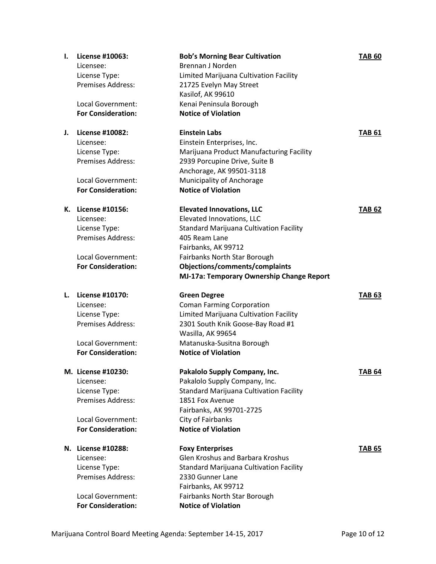| Ι. | License #10063:           | <b>Bob's Morning Bear Cultivation</b>          | <b>TAB 60</b> |
|----|---------------------------|------------------------------------------------|---------------|
|    | Licensee:                 | <b>Brennan J Norden</b>                        |               |
|    | License Type:             | Limited Marijuana Cultivation Facility         |               |
|    | <b>Premises Address:</b>  | 21725 Evelyn May Street                        |               |
|    |                           | Kasilof, AK 99610                              |               |
|    | <b>Local Government:</b>  | Kenai Peninsula Borough                        |               |
|    | <b>For Consideration:</b> | <b>Notice of Violation</b>                     |               |
|    |                           |                                                |               |
| J. | License #10082:           | <b>Einstein Labs</b>                           | <b>TAB 61</b> |
|    | Licensee:                 | Einstein Enterprises, Inc.                     |               |
|    | License Type:             | Marijuana Product Manufacturing Facility       |               |
|    | Premises Address:         | 2939 Porcupine Drive, Suite B                  |               |
|    |                           | Anchorage, AK 99501-3118                       |               |
|    | Local Government:         | Municipality of Anchorage                      |               |
|    | <b>For Consideration:</b> | <b>Notice of Violation</b>                     |               |
|    | K. License #10156:        | <b>Elevated Innovations, LLC</b>               | <b>TAB 62</b> |
|    | Licensee:                 | Elevated Innovations, LLC                      |               |
|    | License Type:             | <b>Standard Marijuana Cultivation Facility</b> |               |
|    | <b>Premises Address:</b>  | 405 Ream Lane                                  |               |
|    |                           | Fairbanks, AK 99712                            |               |
|    | <b>Local Government:</b>  | Fairbanks North Star Borough                   |               |
|    | <b>For Consideration:</b> | Objections/comments/complaints                 |               |
|    |                           | MJ-17a: Temporary Ownership Change Report      |               |
|    |                           |                                                |               |
| L. | License #10170:           | <b>Green Degree</b>                            | <b>TAB 63</b> |
|    | Licensee:                 | <b>Coman Farming Corporation</b>               |               |
|    | License Type:             | Limited Marijuana Cultivation Facility         |               |
|    | <b>Premises Address:</b>  | 2301 South Knik Goose-Bay Road #1              |               |
|    |                           | Wasilla, AK 99654                              |               |
|    | Local Government:         | Matanuska-Susitna Borough                      |               |
|    | <b>For Consideration:</b> | <b>Notice of Violation</b>                     |               |
|    | M. License #10230:        | Pakalolo Supply Company, Inc.                  | <b>TAB 64</b> |
|    | Licensee:                 | Pakalolo Supply Company, Inc.                  |               |
|    | License Type:             | Standard Marijuana Cultivation Facility        |               |
|    | Premises Address:         | 1851 Fox Avenue                                |               |
|    |                           | Fairbanks, AK 99701-2725                       |               |
|    | Local Government:         | City of Fairbanks                              |               |
|    | <b>For Consideration:</b> | <b>Notice of Violation</b>                     |               |
|    |                           |                                                |               |
|    | N. License #10288:        | <b>Foxy Enterprises</b>                        | <b>TAB 65</b> |
|    | Licensee:                 | <b>Glen Kroshus and Barbara Kroshus</b>        |               |
|    | License Type:             | Standard Marijuana Cultivation Facility        |               |
|    | <b>Premises Address:</b>  | 2330 Gunner Lane                               |               |
|    |                           | Fairbanks, AK 99712                            |               |
|    |                           |                                                |               |
|    | Local Government:         | Fairbanks North Star Borough                   |               |
|    | <b>For Consideration:</b> | <b>Notice of Violation</b>                     |               |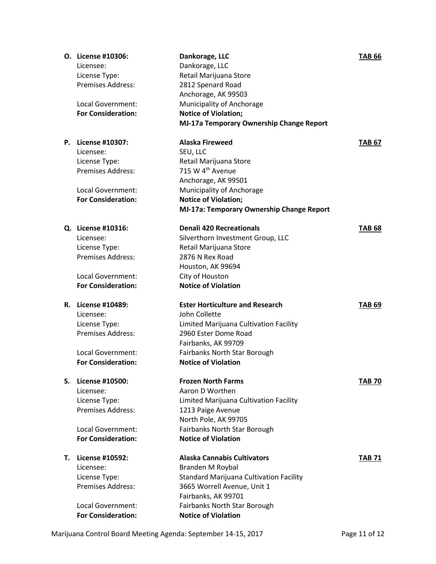|    | <b>O.</b> License #10306:<br>Licensee:<br>License Type:<br><b>Premises Address:</b><br>Local Government:<br><b>For Consideration:</b> | Dankorage, LLC<br>Dankorage, LLC<br>Retail Marijuana Store<br>2812 Spenard Road<br>Anchorage, AK 99503<br>Municipality of Anchorage<br><b>Notice of Violation;</b><br>MJ-17a Temporary Ownership Change Report               | <b>TAB 66</b> |
|----|---------------------------------------------------------------------------------------------------------------------------------------|------------------------------------------------------------------------------------------------------------------------------------------------------------------------------------------------------------------------------|---------------|
|    | P. License #10307:<br>Licensee:<br>License Type:<br><b>Premises Address:</b><br>Local Government:<br><b>For Consideration:</b>        | <b>Alaska Fireweed</b><br>SEU, LLC<br>Retail Marijuana Store<br>715 W 4 <sup>th</sup> Avenue<br>Anchorage, AK 99501<br>Municipality of Anchorage<br><b>Notice of Violation;</b><br>MJ-17a: Temporary Ownership Change Report | <b>TAB 67</b> |
|    | Q. License #10316:<br>Licensee:<br>License Type:<br><b>Premises Address:</b><br>Local Government:<br><b>For Consideration:</b>        | <b>Denali 420 Recreationals</b><br>Silverthorn Investment Group, LLC<br>Retail Marijuana Store<br>2876 N Rex Road<br>Houston, AK 99694<br>City of Houston<br><b>Notice of Violation</b>                                      | <b>TAB 68</b> |
|    | R. License #10489:<br>Licensee:<br>License Type:<br><b>Premises Address:</b><br>Local Government:<br><b>For Consideration:</b>        | <b>Ester Horticulture and Research</b><br>John Collette<br>Limited Marijuana Cultivation Facility<br>2960 Ester Dome Road<br>Fairbanks, AK 99709<br>Fairbanks North Star Borough<br><b>Notice of Violation</b>               | <b>TAB 69</b> |
| S. | License #10500:<br>Licensee:<br>License Type:<br><b>Premises Address:</b><br>Local Government:<br><b>For Consideration:</b>           | <b>Frozen North Farms</b><br>Aaron D Worthen<br>Limited Marijuana Cultivation Facility<br>1213 Paige Avenue<br>North Pole, AK 99705<br>Fairbanks North Star Borough<br><b>Notice of Violation</b>                            | <b>TAB 70</b> |
| Т. | License #10592:<br>Licensee:<br>License Type:<br><b>Premises Address:</b><br>Local Government:<br><b>For Consideration:</b>           | <b>Alaska Cannabis Cultivators</b><br>Branden M Roybal<br>Standard Marijuana Cultivation Facility<br>3665 Worrell Avenue, Unit 1<br>Fairbanks, AK 99701<br>Fairbanks North Star Borough<br><b>Notice of Violation</b>        | <b>TAB 71</b> |

Marijuana Control Board Meeting Agenda: September 14-15, 2017 Page 11 of 12